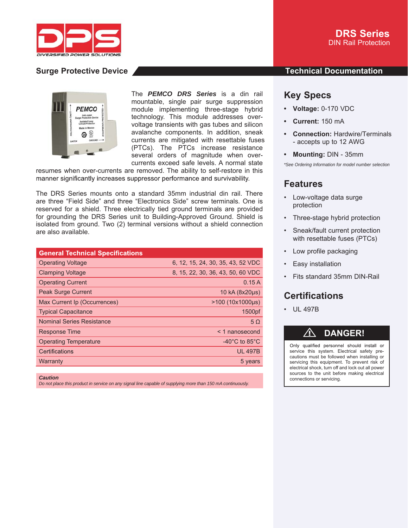



The *PEMCO DRS Series* is a din rail mountable, single pair surge suppression module implementing three-stage hybrid technology. This module addresses overvoltage transients with gas tubes and silicon avalanche components. In addition, sneak currents are mitigated with resettable fuses (PTCs). The PTCs increase resistance several orders of magnitude when overcurrents exceed safe levels. A normal state

resumes when over-currents are removed. The ability to self-restore in this manner significantly increases suppressor performance and survivability.

The DRS Series mounts onto a standard 35mm industrial din rail. There are three "Field Side" and three "Electronics Side" screw terminals. One is reserved for a shield. Three electrically tied ground terminals are provided for grounding the DRS Series unit to Building-Approved Ground. Shield is isolated from ground. Two (2) terminal versions without a shield connection are also available.

| <b>General Technical Specifications</b> |                                    |
|-----------------------------------------|------------------------------------|
| <b>Operating Voltage</b>                | 6, 12, 15, 24, 30, 35, 43, 52 VDC  |
| <b>Clamping Voltage</b>                 | 8, 15, 22, 30, 36, 43, 50, 60 VDC  |
| <b>Operating Current</b>                | 0.15A                              |
| <b>Peak Surge Current</b>               | 10 kA (8x20µs)                     |
| Max Current Ip (Occurrences)            | $>100$ (10x1000µs)                 |
| <b>Typical Capacitance</b>              | 1500pf                             |
| <b>Nominal Series Resistance</b>        | $5\Omega$                          |
| <b>Response Time</b>                    | < 1 nanosecond                     |
| <b>Operating Temperature</b>            | $-40^{\circ}$ C to 85 $^{\circ}$ C |
| Certifications                          | <b>UL 497B</b>                     |
| Warranty                                | 5 years                            |
|                                         |                                    |

*Caution*

*Do not place this product in service on any signal line capable of supplying more than 150 mA continuously.*

### **Surge Protective Device And According to the Contract Occupation Contract Occumentation**

## **Key Specs**

- **Voltage:** 0-170 VDC
- **Current:** 150 mA
- **Connection:** Hardwire/Terminals - accepts up to 12 AWG
- **Mounting:** DIN 35mm

*\*See Ordering Information for model number selection*

### **Features**

- Low-voltage data surge protection
- Three-stage hybrid protection
- Sneak/fault current protection with resettable fuses (PTCs)
- Low profile packaging
- Easy installation
- Fits standard 35mm DIN-Rail

# **Certifications**

• UL 497B

# ⚠ **DANGER!**

Only qualified personnel should install or service this system. Electrical safety precautions must be followed when installing or servicing this equipment. To prevent risk of electrical shock, turn off and lock out all power sources to the unit before making electrical connections or servicing.